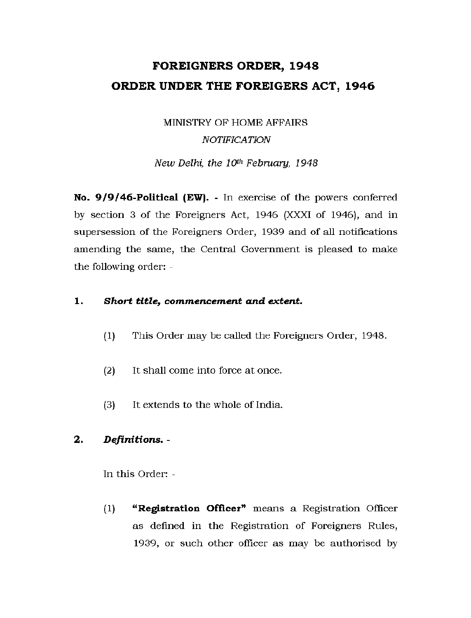# **FOREIGNERS ORDER, 194 8 ORDER UNDER THE FOREIGERS ACT, 1946**

## MINISTRY OF HOME AFFAIRS *NOTIFICATION*

*New Delhi, the 10th February, 1948* 

**No. 9/9/46-Political (EW).** - In exercise of the powers conferred by section 3 of the Foreigners Act, 1946 (XXXI of 1946), and in supersession of the Foreigners Order, 1939 and of all notifications amending the same, the Central Government is pleased to make the following order: -

### **1.** *Short title, commencement and extent.*

- (1) This Order may be called the Foreigners Order, 1948.
- (2) It shall come into force at once.
- (3) It extends to the whole of India.

### **2.** *Definitions. -*

In this Order: -

(1) **"Registration Officer"** means a Registration Officer as defined in the Registration of Foreigners Rules, 1939, or such other officer as may be authorised by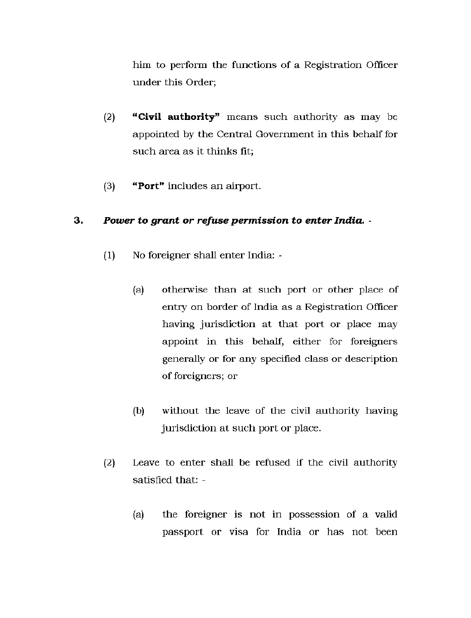him to perform the functions of a Registration Officer under this Order;

- (2) **"Civil authority"** means such authority as may be appointed by the Central Government in this behalf for such area as it thinks fit;
- (3) **"Port"** includes an airport.

#### **3.** *Power to grant or refuse permission to enter India. -*

- (1) No foreigner shall enter India:
	- (a) otherwise than at such port or other place of entry on border of India as a Registration Officer having jurisdiction at that port or place may appoint in this behalf, either for foreigners generally or for any specified class or description of foreigners; or
	- (b) without the leave of the civil authority having jurisdiction at such port or place.
- (2) Leave to enter shall be refused if the civil authority satisfied that: -
	- (a) the foreigner is not in possession of a valid passport or visa for India or has not been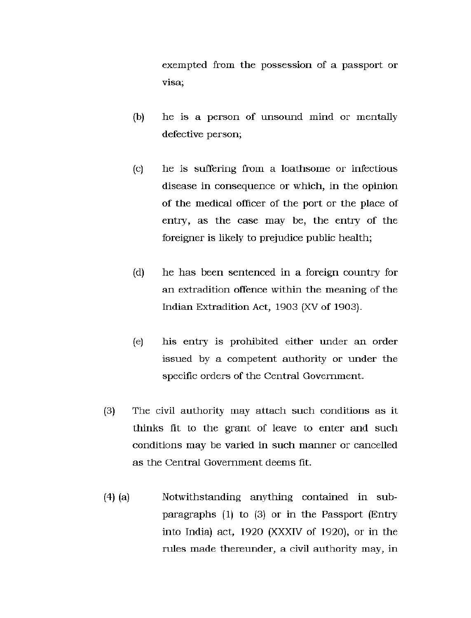exempted from the possession of a passport or visa;

- (b) he is a person of unsound mind or mentally defective person;
- (c) he is suffering from a loathsome or infectious disease in consequence or which, in the opinion of the medical officer of the port or the place of entry, as the case may be, the entry of the foreigner is likely to prejudice public health;
- (d) he has been sentenced in a foreign country for an extradition offence within the meaning of the Indian Extradition Act, 1903 (XV of 1903).
- (e) his entry is prohibited either under an order issued by a competent authority or under the specific orders of the Central Government.
- $(3)$  The civil authority may attach such conditions as it thinks fit to the grant of leave to enter and such conditions may be varied in such manner or cancelled as the Central Government deems fit.
- (4) (a) Notwithstanding anything contained in subparagraphs (1) to (3) or in the Passport (Entry into India) act, 1920 (XXXIV of 1920), or in the rules made thereunder, a civil authority may, in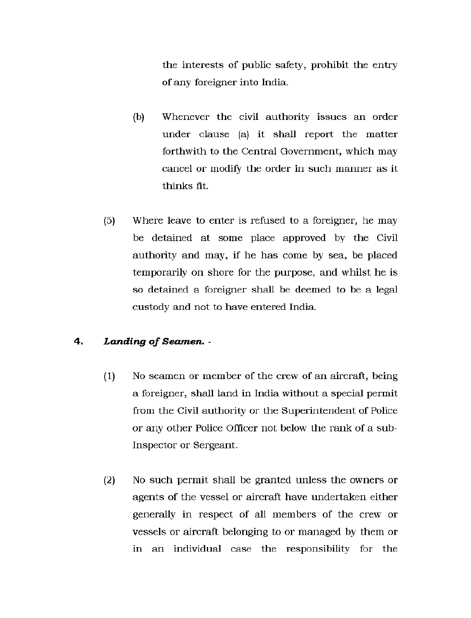the interests of public safety, prohibit the entry of any foreigner into India.

- (b) Whenever the civil authority issues an order under clause (a) it shall report the matter forthwith to the Central Government, which may cancel or modify the order in such manner as it thinks fit.
- (5) Where leave to enter is refused to a foreigner, he may be detained at some place approved by the Civil authority and may, if he has come by sea, be placed temporarily on shore for the purpose, and whilst he is so detained a foreigner shall be deemed to be a legal custody and not to have entered India.

#### **4.** *Landing of Seamen. -*

- $(1)$  No seamen or member of the crew of an aircraft, being a foreigner, shall land in India without a special permit from the Civil authority or the Superintendent of Police or any other Police Officer not below the rank of a sub-Inspector or Sergeant.
- (2) No such permit shall be granted unless the owners or agents of the vessel or aircraft have undertaken either generally in respect of all members of the crew or vessels or aircraft belonging to or managed by them or in an individual case the responsibility for the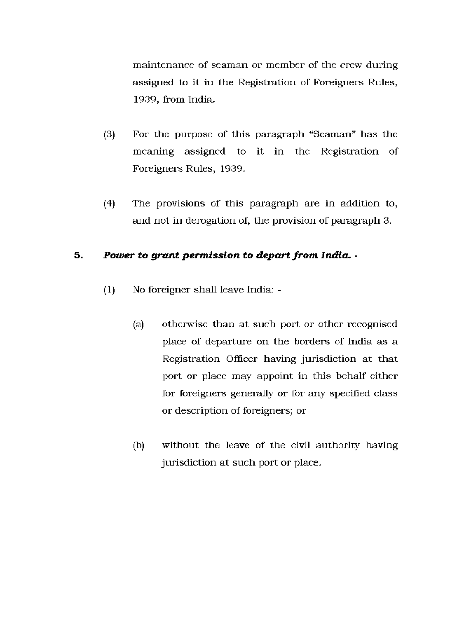maintenance of seaman or member of the crew during assigned to it in the Registration of Foreigners Rules, 1939, from India.

- $(3)$  For the purpose of this paragraph "Seaman" has the meaning assigned to it in the Registration of Foreigners Rules, 1939.
- (4) The provisions of this paragraph are in addition to, and not in derogation of, the provision of paragraph 3.

### **5.** *Power to grant permission to depart from India. -*

- (1) No foreigner shall leave India:
	- (a) otherwise than at such port or other recognised place of departure on the borders of India as a Registration Officer having jurisdiction at that port or place may appoint in this behalf either for foreigners generally or for any specified class or description of foreigners; or
	- (b) without the leave of the civil authority having jurisdiction at such port or place.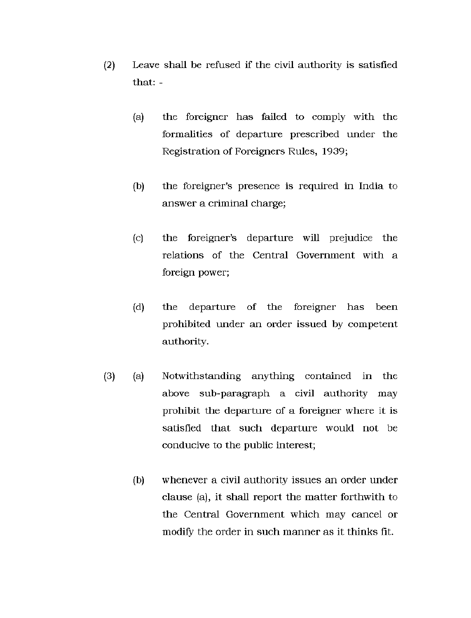- (2) Leave shall be refused if the civil authority is satisfied that: -
	- $(a)$  the foreigner has failed to comply with the formalities of departure prescribed under the Registration of Foreigners Rules, 1939;
	- (b) the foreigner's presence is required in India to answer a criminal charge;
	- (c) the foreigner's departure will prejudice the relations of the Central Government with a foreign power;
	- (d) the departure of the foreigner has been prohibited under an order issued by competent authority.
- (3) (a) Notwithstanding anything contained in the above sub-paragraph a civil authority may prohibit the departure of a foreigner where it is satisfied that such departure would not be conducive to the public interest;
	- (b) whenever a civil authority issues an order under clause (a), it shall report the matter forthwith to the Central Government which may cancel or modify the order in such manner as it thinks fit.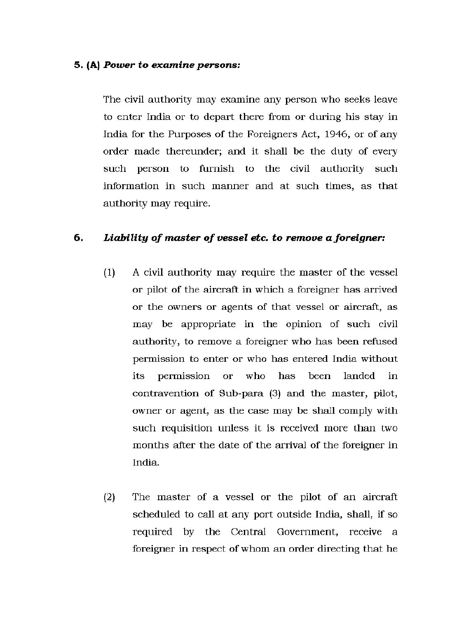#### **5. (A)** *Power to examine persons:*

The civil authority may examine any person who seeks leave to enter India or to depart there from or during his stay in India for the Purposes of the Foreigners Act, 1946, or of any order made thereunder; and it shall be the duty of every such person to furnish to the civil authority such information in such manner and at such times, as that authority may require.

#### **6.** *Liability of master of vessel etc. to remove a foreigner:*

- (1) A civil authority may require the master of the vessel or pilot of the aircraft in which a foreigner has arrived or the owners or agents of that vessel or aircraft, as may be appropriate in the opinion of such civil authority, to remove a foreigner who has been refused permission to enter or who has entered India without its permission or who has been landed in contravention of Sub-para (3) and the master, pilot, owner or agent, as the case may be shall comply with such requisition unless it is received more than two months after the date of the arrival of the foreigner in India.
- $(2)$  The master of a vessel or the pilot of an aircraft scheduled to call at any port outside India, shall, if so required by the Central Government, receive a foreigner in respect of whom an order directing that he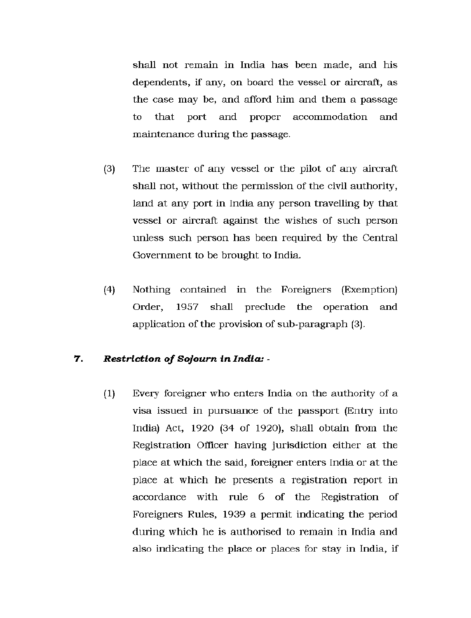shall not remain in India has been made, and his dependents, if any, on board the vessel or aircraft, as the case may be, and afford him and them a passage to that port and proper accommodation and maintenance during the passage.

- (3) The master of any vessel or the pilot of any aircraft shall not, without the permission of the civil authority, land at any port in India any person travelling by that vessel or aircraft against the wishes of such person unless such person has been required by the Central Government to be brought to India.
- (4) Nothing contained in the Foreigners (Exemption) Order, 1957 shall preclude the operation and application of the provision of sub-paragraph (3).

#### **7.** *Restriction of Sojourn in India: -*

(1) Every foreigner who enters India on the authority of a visa issued in pursuance of the passport (Entry into India) Act, 1920 (34 of 1920), shall obtain from the Registration Officer having jurisdiction either at the place at which the said, foreigner enters India or at the place at which he presents a registration report in accordance with rule 6 of the Registration of Foreigners Rules, 1939 a permit indicating the period during which he is authorised to remain in India and also indicating the place or places for stay in India, if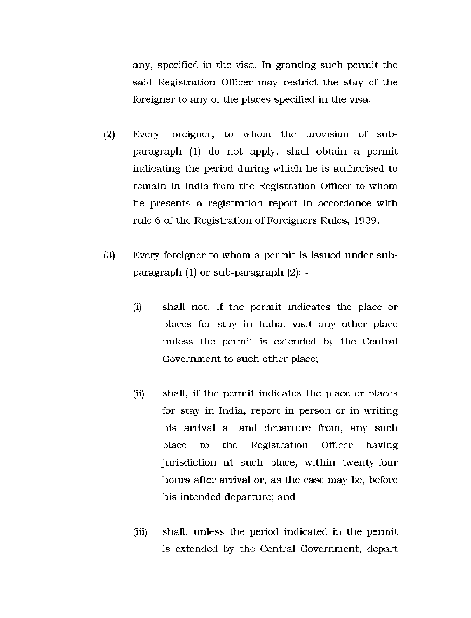any, specified in the visa. In granting such permit the said Registration Officer may restrict the stay of the foreigner to any of the places specified in the visa.

- $(2)$ Every foreigner, to whom the provision of subparagraph (1) do not apply, shall obtain a permit indicating the period during which he is authorised to remain in India from the Registration Officer to whom he presents a registration report in accordance with rule 6 of the Registration of Foreigners Rules, 1939.
- Every foreigner to whom a permit is issued under sub- $(3)$ paragraph (1) or sub-paragraph (2): -
	- (i) shall not, if the permit indicates the place or places for stay in India, visit any other place unless the permit is extended by the Central Government to such other place;
	- (ii) shall, if the permit indicates the place or places for stay in India, report in person or in writing his arrival at and departure from, any such place to the Registration Officer having jurisdiction at such place, within twenty-four hours after arrival or, as the case may be, before his intended departure; and
	- (iii) shall, unless the period indicated in the permit is extended by the Central Government, depart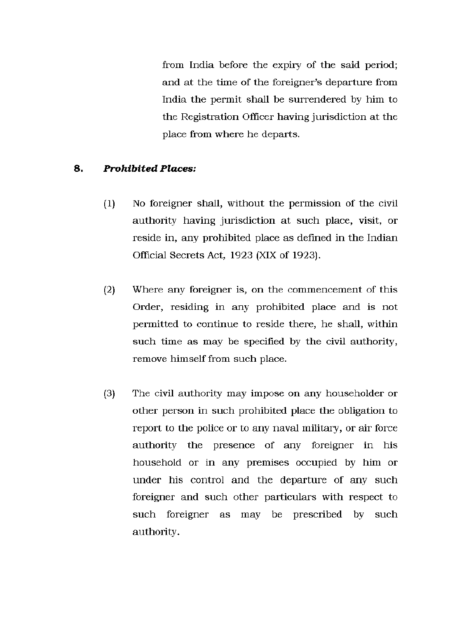from India before the expiry of the said period; and at the time of the foreigner's departure from India the permit shall be surrendered by him to the Registration Officer having jurisdiction at the place from where he departs.

#### **8.** *Prohibited Places:*

- (1) No foreigner shall, without the permission of the civil authority having jurisdiction at such place, visit, or reside in, any prohibited place as defined in the Indian Official Secrets Act, 1923 (XIX of 1923).
- (2) Where any foreigner is, on the commencement of this Order, residing in any prohibited place and is not permitted to continue to reside there, he shall, within such time as may be specified by the civil authority, remove himself from such place.
- (3) The civil authority may impose on any householder or other person in such prohibited place the obligation to report to the police or to any naval military, or air force authority the presence of any foreigner in his household or in any premises occupied by him or under his control and the departure of any such foreigner and such other particulars with respect to such foreigner as may be prescribed by such authority.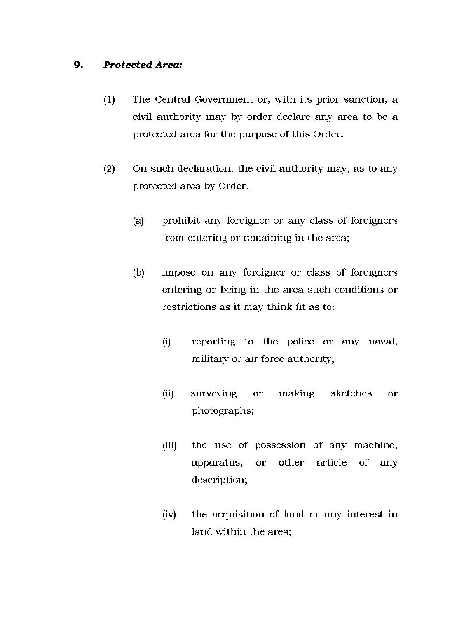### **9.** *Protected Area:*

- (1) The Central Government or, with its prior sanction, a civil authority may by order declare any area to be a protected area for the purpose of this Order.
- (2) On such declaration, the civil authority may, as to any protected area by Order.
	- (a) prohibit any foreigner or any class of foreigners from entering or remaining in the area;
	- (b) impose on any foreigner or class of foreigners entering or being in the area such conditions or restrictions as it may think fit as to:
		- (i) reporting to the police or any naval, military or air force authority;
		- (ii) surveying or making sketches or photographs;
		- (iii) the use of possession of any machine, apparatus, or other article of any description;
		- (iv) the acquisition of land or any interest in land within the area;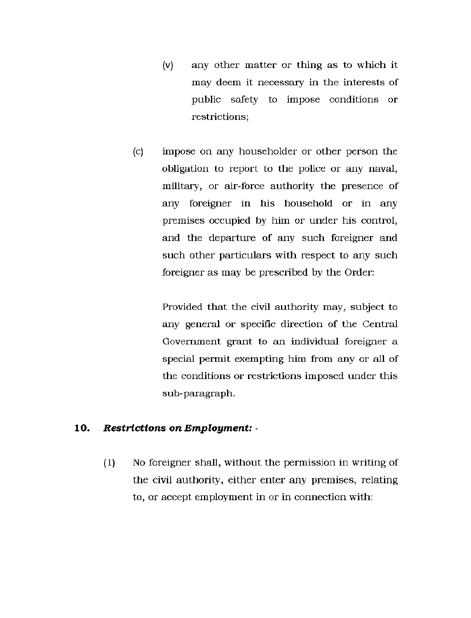- (v) any other matter or thing as to which it may deem it necessary in the interests of public safety to impose conditions or restrictions;
- (c) impose on any householder or other person the obligation to report to the police or any naval, military, or air-force authority the presence of any foreigner in his household or in any premises occupied by him or under his control, and the departure of any such foreigner and such other particulars with respect to any such foreigner as may be prescribed by the Order:

Provided that the civil authority may, subject to any general or specific direction of the Central Government grant to an individual foreigner a special permit exempting him from any or all of the conditions or restrictions imposed under this sub-paragraph.

#### 10. *Restrictions on Employment: -*

(1) No foreigner shall, without the permission in writing of the civil authority, either enter any premises, relating to, or accept employment in or in connection with: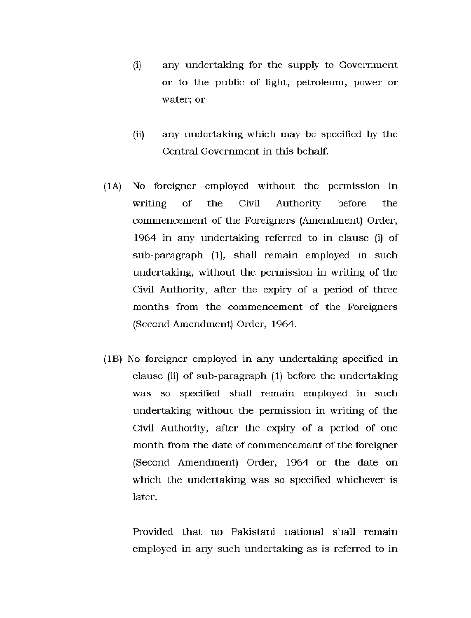- (i) any undertaking for the supply to Government or to the public of light, petroleum, power or water; or
- (ii) any undertaking which may be specified by the Central Government in this behalf.
- (1A) No foreigner employed without the permission in writing of the Civil Authority before the commencement of the Foreigners (Amendment) Order, 1964 in any undertaking referred to in clause (i) of sub-paragraph (1), shall remain employed in such undertaking, without the permission in writing of the Civil Authority, after the expiry of a period of three months from the commencement of the Foreigners (Second Amendment) Order, 1964.
- (IB) No foreigner employed in any undertaking specified in clause (ii) of sub-paragraph (1) before the undertaking was so specified shall remain employed in such undertaking without the permission in writing of the Civil Authority, after the expiry of a period of one month from the date of commencement of the foreigner (Second Amendment) Order, 1964 or the date on which the undertaking was so specified whichever is later.

Provided that no Pakistani national shall remain employed in any such undertaking as is referred to in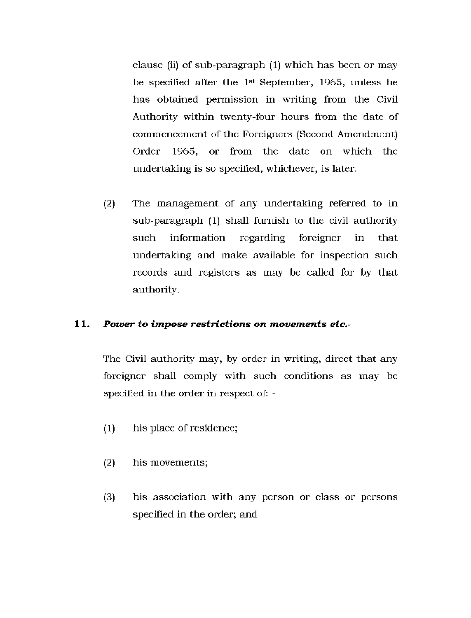clause (ii) of sub-paragraph  $(1)$  which has been or may be specified after the 1st September, 1965, unless he has obtained permission in writing from the Civil Authority within twenty-four hours from the date of commencement of the Foreigners (Second Amendment) Order 1965, or from the date on which the undertaking is so specified, whichever, is later.

(2) The management of any undertaking referred to in sub-paragraph (1) shall furnish to the civil authority such information regarding foreigner in that undertaking and make available for inspection such records and registers as may be called for by that authority.

#### **11.** *Power to impose restrictions on movements etc-*

The Civil authority may, by order in writing, direct that any foreigner shall comply with such conditions as may be specified in the order in respect of: -

- (1) his place of residence;
- (2) his movements;
- (3) his association with any person or class or persons specified in the order; and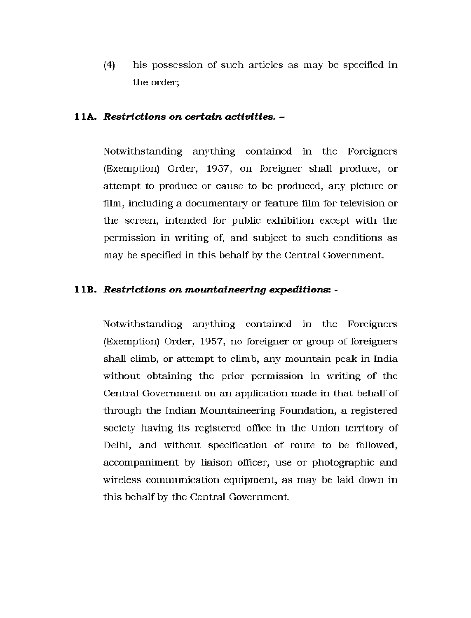(4) his possession of such articles as may be specified in the order;

#### **11A.** *Restrictions on certain activities. -*

Notwithstanding anything contained in the Foreigners (Exemption) Order, 1957, on foreigner shall produce, or attempt to produce or cause to be produced, any picture or film, including a documentary or feature film for television or the screen, intended for public exhibition except with the permission in writing of, and subject to such conditions as may be specified in this behalf by the Central Government.

#### **11B.** *Restrictions on mountaineering expeditions: -*

Notwithstanding anything contained in the Foreigners (Exemption) Order, 1957, no foreigner or group of foreigners shall climb, or attempt to climb, any mountain peak in India without obtaining the prior permission in writing of the Central Government on an application made in that behalf of through the Indian Mountaineering Foundation, a registered society having its registered office in the Union territory of Delhi, and without specification of route to be followed, accompaniment by liaison officer, use or photographic and wireless communication equipment, as may be laid down in this behalf by the Central Government.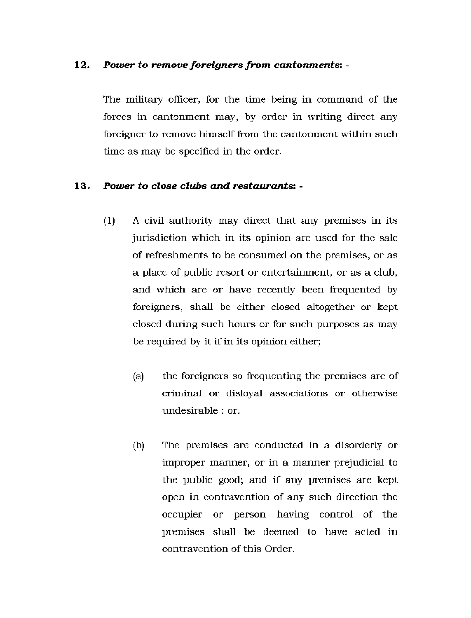#### 12. *Power to remove foreigners from cantonments: -*

The military officer, for the time being in command of the forces in cantonment may, by order in writing direct any foreigner to remove himself from the cantonment within such time as may be specified in the order.

#### 13. *Power to close clubs and restaurants: -*

- $(1)$  A civil authority may direct that any premises in its jurisdiction which in its opinion are used for the sale of refreshments to be consumed on the premises, or as a place of public resort or entertainment, or as a club, and which are or have recently been frequented by foreigners, shall be either closed altogether or kept closed during such hours or for such purposes as may be required by it if in its opinion either;
	- (a) the foreigners so frequenting the premises are of criminal or disloyal associations or otherwise undesirable : or.
	- (b) The premises are conducted in a disorderly or improper manner, or in a manner prejudicial to the public good; and if any premises are kept open in contravention of any such direction the occupier or person having control of the premises shall be deemed to have acted in contravention of this Order.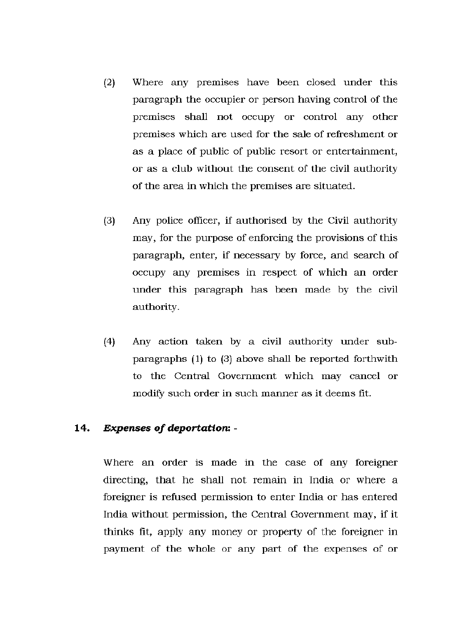- $(2)$  Where any premises have been closed under this paragraph the occupier or person having control of the premises shall not occupy or control any other premises which are used for the sale of refreshment or as a place of public of public resort or entertainment, or as a club without the consent of the civil authority of the area in which the premises are situated.
- (3) Any police officer, if authorised by the Civil authority may, for the purpose of enforcing the provisions of this paragraph, enter, if necessary by force, and search of occupy any premises in respect of which an order under this paragraph has been made by the civil authority.
- $(4)$  Any action taken by a civil authority under subparagraphs (1) to (3) above shall be reported forthwith to the Central Government which may cancel or modify such order in such manner as it deems fit.

#### 14. *Expenses of deportation: -*

Where an order is made in the case of any foreigner directing, that he shall not remain in India or where a foreigner is refused permission to enter India or has entered India without permission, the Central Government may, if it thinks fit, apply any money or property of the foreigner in payment of the whole or any part of the expenses of or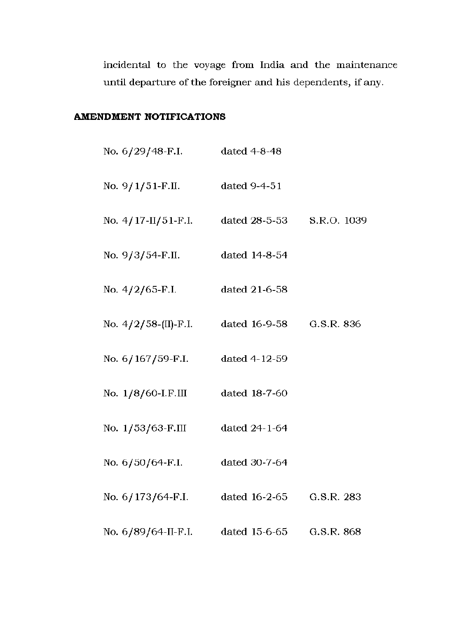incidental to the voyage from India and the maintenance until departure of the foreigner and his dependents, if any.

### **AMENDMENT NOTIFICATIONS**

| No. 6/29/48-F.I. dated 4-8-48                 |               |            |
|-----------------------------------------------|---------------|------------|
| No. 9/1/51-F.II.                              | dated 9-4-51  |            |
| No. 4/17-II/51-F.I. dated 28-5-53 S.R.O. 1039 |               |            |
| No. 9/3/54-F.II.                              | dated 14-8-54 |            |
| No. 4/2/65-F.I.                               | dated 21-6-58 |            |
| No. 4/2/58-(II)-F.I. dated 16-9-58            |               | G.S.R. 836 |
| No. 6/167/59-F.I. dated 4-12-59               |               |            |
| No. 1/8/60-I.F.III dated 18-7-60              |               |            |
| No. 1/53/63-F.III dated 24-1-64               |               |            |
| No. 6/50/64-F.I.                              | dated 30-7-64 |            |
| No. 6/173/64-F.I. dated 16-2-65               |               | G.S.R. 283 |
| No. 6/89/64-II-F.I. dated 15-6-65 G.S.R. 868  |               |            |